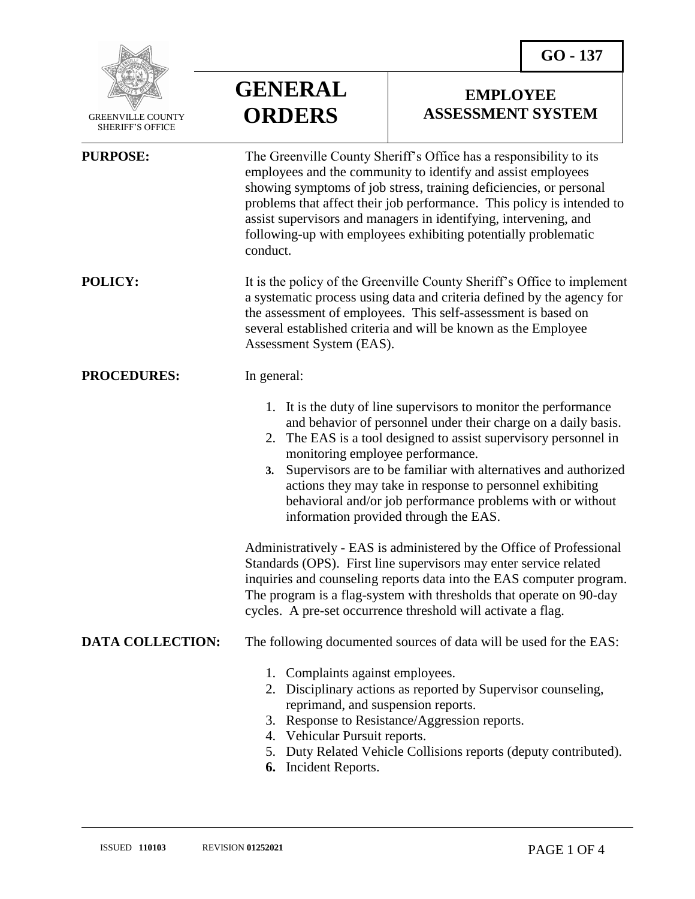

 GREENVILLE COUNTY SHERIFF'S OFFICE

## **GENERAL ORDERS**

## **EMPLOYEE ASSESSMENT SYSTEM**

| <b>PURPOSE:</b>         | The Greenville County Sheriff's Office has a responsibility to its<br>employees and the community to identify and assist employees<br>showing symptoms of job stress, training deficiencies, or personal<br>problems that affect their job performance. This policy is intended to<br>assist supervisors and managers in identifying, intervening, and<br>following-up with employees exhibiting potentially problematic<br>conduct.                                                    |
|-------------------------|-----------------------------------------------------------------------------------------------------------------------------------------------------------------------------------------------------------------------------------------------------------------------------------------------------------------------------------------------------------------------------------------------------------------------------------------------------------------------------------------|
| <b>POLICY:</b>          | It is the policy of the Greenville County Sheriff's Office to implement<br>a systematic process using data and criteria defined by the agency for<br>the assessment of employees. This self-assessment is based on<br>several established criteria and will be known as the Employee<br>Assessment System (EAS).                                                                                                                                                                        |
| <b>PROCEDURES:</b>      | In general:                                                                                                                                                                                                                                                                                                                                                                                                                                                                             |
|                         | 1. It is the duty of line supervisors to monitor the performance<br>and behavior of personnel under their charge on a daily basis.<br>2. The EAS is a tool designed to assist supervisory personnel in<br>monitoring employee performance.<br>Supervisors are to be familiar with alternatives and authorized<br>3.<br>actions they may take in response to personnel exhibiting<br>behavioral and/or job performance problems with or without<br>information provided through the EAS. |
|                         | Administratively - EAS is administered by the Office of Professional<br>Standards (OPS). First line supervisors may enter service related<br>inquiries and counseling reports data into the EAS computer program.<br>The program is a flag-system with thresholds that operate on 90-day<br>cycles. A pre-set occurrence threshold will activate a flag.                                                                                                                                |
| <b>DATA COLLECTION:</b> | The following documented sources of data will be used for the EAS:                                                                                                                                                                                                                                                                                                                                                                                                                      |
|                         | 1. Complaints against employees.<br>2. Disciplinary actions as reported by Supervisor counseling,<br>reprimand, and suspension reports.<br>3. Response to Resistance/Aggression reports.<br>4. Vehicular Pursuit reports.<br>5. Duty Related Vehicle Collisions reports (deputy contributed).<br>Incident Reports.<br>6.                                                                                                                                                                |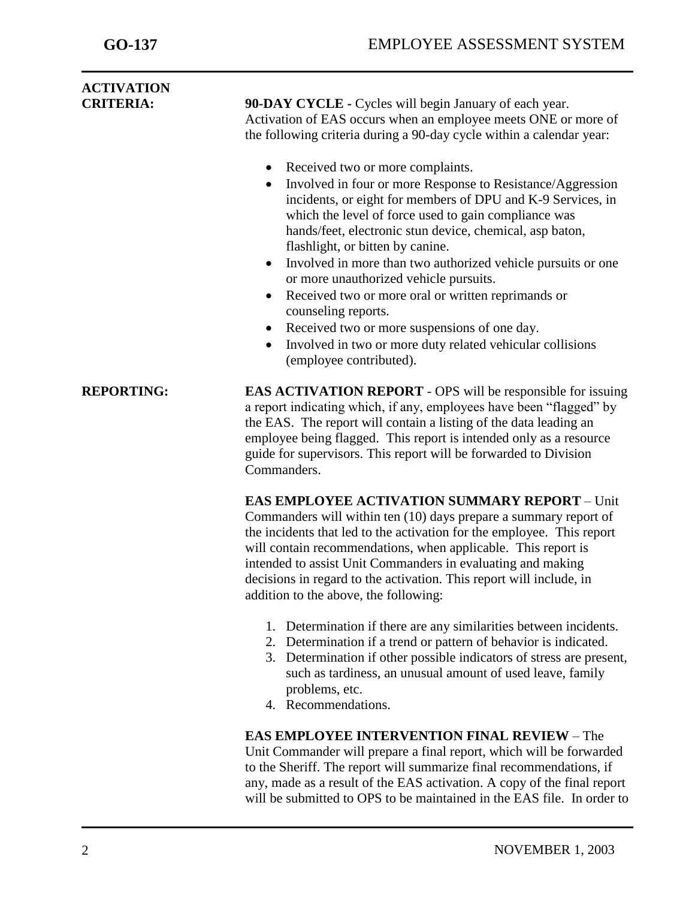| <b>ACTIVATION</b><br><b>CRITERIA:</b> | 90-DAY CYCLE - Cycles will begin January of each year.<br>Activation of EAS occurs when an employee meets ONE or more of<br>the following criteria during a 90-day cycle within a calendar year:<br>Received two or more complaints.<br>$\bullet$<br>Involved in four or more Response to Resistance/Aggression<br>incidents, or eight for members of DPU and K-9 Services, in<br>which the level of force used to gain compliance was<br>hands/feet, electronic stun device, chemical, asp baton,<br>flashlight, or bitten by canine.<br>Involved in more than two authorized vehicle pursuits or one<br>$\bullet$<br>or more unauthorized vehicle pursuits.<br>Received two or more oral or written reprimands or<br>$\bullet$<br>counseling reports.<br>Received two or more suspensions of one day.<br>$\bullet$<br>Involved in two or more duty related vehicular collisions |
|---------------------------------------|-----------------------------------------------------------------------------------------------------------------------------------------------------------------------------------------------------------------------------------------------------------------------------------------------------------------------------------------------------------------------------------------------------------------------------------------------------------------------------------------------------------------------------------------------------------------------------------------------------------------------------------------------------------------------------------------------------------------------------------------------------------------------------------------------------------------------------------------------------------------------------------|
|                                       | (employee contributed).                                                                                                                                                                                                                                                                                                                                                                                                                                                                                                                                                                                                                                                                                                                                                                                                                                                           |
| <b>REPORTING:</b>                     | <b>EAS ACTIVATION REPORT</b> - OPS will be responsible for issuing<br>a report indicating which, if any, employees have been "flagged" by<br>the EAS. The report will contain a listing of the data leading an<br>employee being flagged. This report is intended only as a resource<br>guide for supervisors. This report will be forwarded to Division<br>Commanders.                                                                                                                                                                                                                                                                                                                                                                                                                                                                                                           |
|                                       | <b>EAS EMPLOYEE ACTIVATION SUMMARY REPORT - Unit</b><br>Commanders will within ten (10) days prepare a summary report of<br>the incidents that led to the activation for the employee. This report<br>will contain recommendations, when applicable. This report is<br>intended to assist Unit Commanders in evaluating and making<br>decisions in regard to the activation. This report will include, in<br>addition to the above, the following:                                                                                                                                                                                                                                                                                                                                                                                                                                |
|                                       | 1. Determination if there are any similarities between incidents.<br>2. Determination if a trend or pattern of behavior is indicated.<br>3. Determination if other possible indicators of stress are present,<br>such as tardiness, an unusual amount of used leave, family<br>problems, etc.<br>4. Recommendations.                                                                                                                                                                                                                                                                                                                                                                                                                                                                                                                                                              |
|                                       | <b>EAS EMPLOYEE INTERVENTION FINAL REVIEW - The</b><br>Unit Commander will prepare a final report, which will be forwarded<br>to the Sheriff. The report will summarize final recommendations, if<br>any, made as a result of the EAS activation. A copy of the final report<br>will be submitted to OPS to be maintained in the EAS file. In order to                                                                                                                                                                                                                                                                                                                                                                                                                                                                                                                            |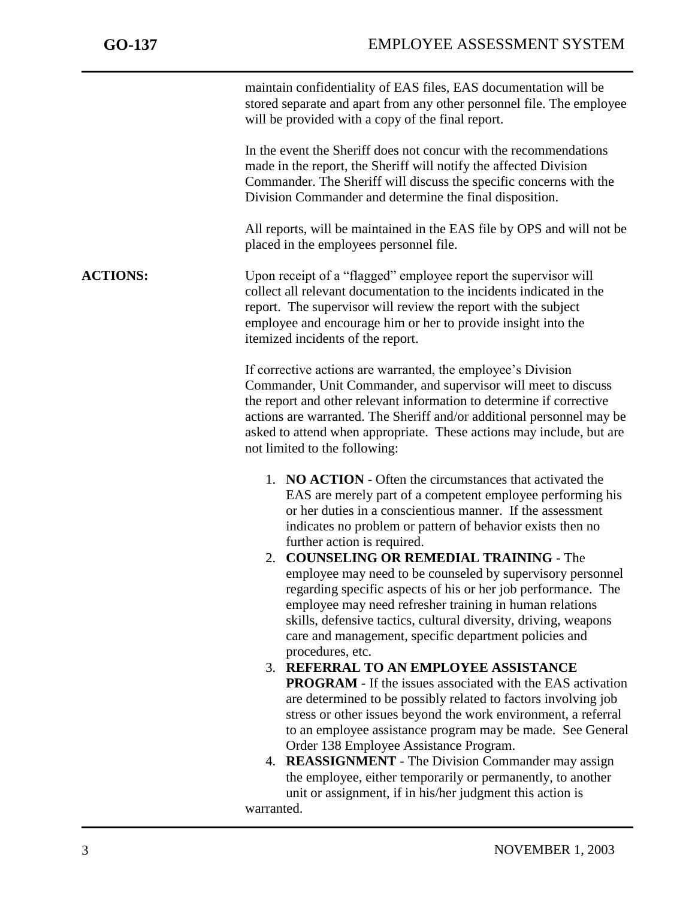j

maintain confidentiality of EAS files, EAS documentation will be stored separate and apart from any other personnel file. The employee will be provided with a copy of the final report.

In the event the Sheriff does not concur with the recommendations made in the report, the Sheriff will notify the affected Division Commander. The Sheriff will discuss the specific concerns with the Division Commander and determine the final disposition.

All reports, will be maintained in the EAS file by OPS and will not be placed in the employees personnel file.

**ACTIONS:** Upon receipt of a "flagged" employee report the supervisor will collect all relevant documentation to the incidents indicated in the report. The supervisor will review the report with the subject employee and encourage him or her to provide insight into the itemized incidents of the report.

> If corrective actions are warranted, the employee's Division Commander, Unit Commander, and supervisor will meet to discuss the report and other relevant information to determine if corrective actions are warranted. The Sheriff and/or additional personnel may be asked to attend when appropriate. These actions may include, but are not limited to the following:

- 1. **NO ACTION** Often the circumstances that activated the EAS are merely part of a competent employee performing his or her duties in a conscientious manner. If the assessment indicates no problem or pattern of behavior exists then no further action is required.
- 2. **COUNSELING OR REMEDIAL TRAINING** The employee may need to be counseled by supervisory personnel regarding specific aspects of his or her job performance. The employee may need refresher training in human relations skills, defensive tactics, cultural diversity, driving, weapons care and management, specific department policies and procedures, etc.
- 3. **REFERRAL TO AN EMPLOYEE ASSISTANCE PROGRAM** - If the issues associated with the EAS activation are determined to be possibly related to factors involving job stress or other issues beyond the work environment, a referral to an employee assistance program may be made. See General Order 138 Employee Assistance Program.
- 4. **REASSIGNMENT** The Division Commander may assign the employee, either temporarily or permanently, to another unit or assignment, if in his/her judgment this action is warranted.